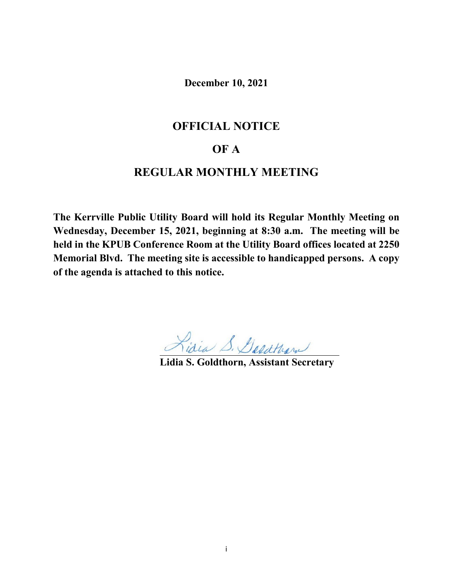**December 10, 2021**

# **OFFICIAL NOTICE**

# **OF A**

# **REGULAR MONTHLY MEETING**

**The Kerrville Public Utility Board will hold its Regular Monthly Meeting on Wednesday, December 15, 2021, beginning at 8:30 a.m. The meeting will be held in the KPUB Conference Room at the Utility Board offices located at 2250 Memorial Blvd. The meeting site is accessible to handicapped persons. A copy of the agenda is attached to this notice.**

**Lidia S. Goldthorn, Assistant Secretary**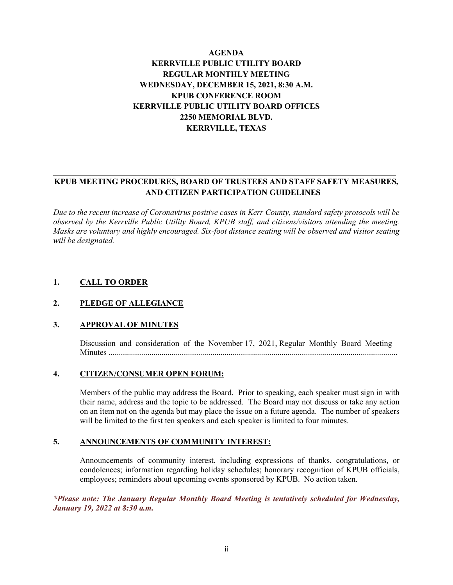# **AGENDA KERRVILLE PUBLIC UTILITY BOARD REGULAR MONTHLY MEETING WEDNESDAY, DECEMBER 15, 2021, 8:30 A.M. KPUB CONFERENCE ROOM KERRVILLE PUBLIC UTILITY BOARD OFFICES 2250 MEMORIAL BLVD. KERRVILLE, TEXAS**

# **KPUB MEETING PROCEDURES, BOARD OF TRUSTEES AND STAFF SAFETY MEASURES, AND CITIZEN PARTICIPATION GUIDELINES**

*Due to the recent increase of Coronavirus positive cases in Kerr County, standard safety protocols will be observed by the Kerrville Public Utility Board, KPUB staff, and citizens/visitors attending the meeting. Masks are voluntary and highly encouraged. Six-foot distance seating will be observed and visitor seating will be designated.*

# **1. CALL TO ORDER**

#### **2. PLEDGE OF ALLEGIANCE**

#### **3. APPROVAL OF MINUTES**

Discussion and consideration of the November 17, 2021, Regular Monthly Board Meeting Minutes ..............................................................................................................................................

#### **4. CITIZEN/CONSUMER OPEN FORUM:**

Members of the public may address the Board. Prior to speaking, each speaker must sign in with their name, address and the topic to be addressed. The Board may not discuss or take any action on an item not on the agenda but may place the issue on a future agenda. The number of speakers will be limited to the first ten speakers and each speaker is limited to four minutes.

#### **5. ANNOUNCEMENTS OF COMMUNITY INTEREST:**

Announcements of community interest, including expressions of thanks, congratulations, or condolences; information regarding holiday schedules; honorary recognition of KPUB officials, employees; reminders about upcoming events sponsored by KPUB. No action taken.

*\*Please note: The January Regular Monthly Board Meeting is tentatively scheduled for Wednesday, January 19, 2022 at 8:30 a.m.*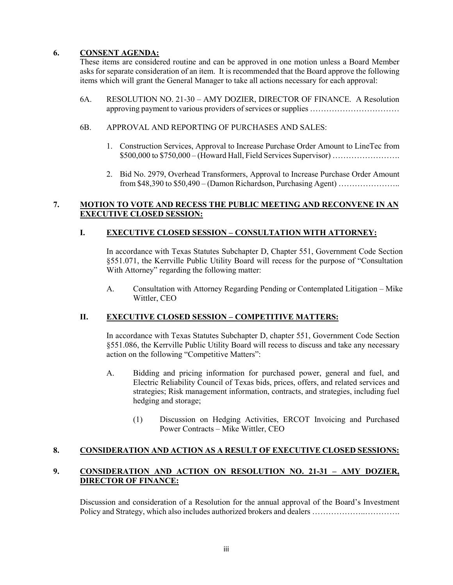### **6. CONSENT AGENDA:**

These items are considered routine and can be approved in one motion unless a Board Member asks for separate consideration of an item. It is recommended that the Board approve the following items which will grant the General Manager to take all actions necessary for each approval:

- 6A. RESOLUTION NO. 21-30 AMY DOZIER, DIRECTOR OF FINANCE. A Resolution approving payment to various providers of services or supplies ……………………………
- 6B. APPROVAL AND REPORTING OF PURCHASES AND SALES:
	- 1. Construction Services, Approval to Increase Purchase Order Amount to LineTec from \$500,000 to \$750,000 – (Howard Hall, Field Services Supervisor) …………………….
	- 2. Bid No. 2979, Overhead Transformers, Approval to Increase Purchase Order Amount from \$48,390 to \$50,490 – (Damon Richardson, Purchasing Agent) …………………..

#### **7. MOTION TO VOTE AND RECESS THE PUBLIC MEETING AND RECONVENE IN AN EXECUTIVE CLOSED SESSION:**

#### **I. EXECUTIVE CLOSED SESSION – CONSULTATION WITH ATTORNEY:**

In accordance with Texas Statutes Subchapter D, Chapter 551, Government Code Section §551.071, the Kerrville Public Utility Board will recess for the purpose of "Consultation With Attorney" regarding the following matter:

A. Consultation with Attorney Regarding Pending or Contemplated Litigation – Mike Wittler, CEO

# **II. EXECUTIVE CLOSED SESSION – COMPETITIVE MATTERS:**

In accordance with Texas Statutes Subchapter D, chapter 551, Government Code Section §551.086, the Kerrville Public Utility Board will recess to discuss and take any necessary action on the following "Competitive Matters":

- A. Bidding and pricing information for purchased power, general and fuel, and Electric Reliability Council of Texas bids, prices, offers, and related services and strategies; Risk management information, contracts, and strategies, including fuel hedging and storage;
	- (1) Discussion on Hedging Activities, ERCOT Invoicing and Purchased Power Contracts – Mike Wittler, CEO

# **8. CONSIDERATION AND ACTION AS A RESULT OF EXECUTIVE CLOSED SESSIONS:**

# **9. CONSIDERATION AND ACTION ON RESOLUTION NO. 21-31 – AMY DOZIER, DIRECTOR OF FINANCE:**

Discussion and consideration of a Resolution for the annual approval of the Board's Investment Policy and Strategy, which also includes authorized brokers and dealers ………………..………….